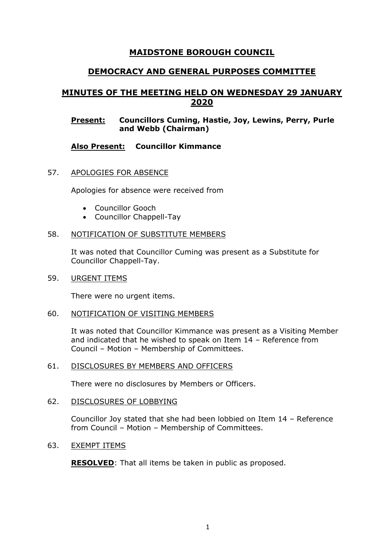# **MAIDSTONE BOROUGH COUNCIL**

# **DEMOCRACY AND GENERAL PURPOSES COMMITTEE**

# **MINUTES OF THE MEETING HELD ON WEDNESDAY 29 JANUARY 2020**

### **Present: Councillors Cuming, Hastie, Joy, Lewins, Perry, Purle and Webb (Chairman)**

# **Also Present: Councillor Kimmance**

### 57. APOLOGIES FOR ABSENCE

Apologies for absence were received from

- Councillor Gooch
- Councillor Chappell-Tay

### 58. NOTIFICATION OF SUBSTITUTE MEMBERS

It was noted that Councillor Cuming was present as a Substitute for Councillor Chappell-Tay.

59. URGENT ITEMS

There were no urgent items.

#### 60. NOTIFICATION OF VISITING MEMBERS

It was noted that Councillor Kimmance was present as a Visiting Member and indicated that he wished to speak on Item 14 – Reference from Council – Motion – Membership of Committees.

#### 61. DISCLOSURES BY MEMBERS AND OFFICERS

There were no disclosures by Members or Officers.

62. DISCLOSURES OF LOBBYING

Councillor Joy stated that she had been lobbied on Item 14 – Reference from Council – Motion – Membership of Committees.

### 63. EXEMPT ITEMS

**RESOLVED**: That all items be taken in public as proposed.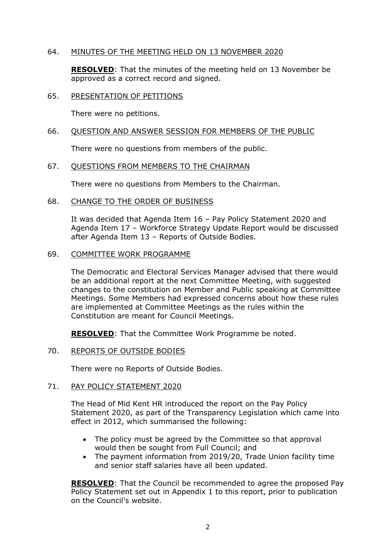## 64. MINUTES OF THE MEETING HELD ON 13 NOVEMBER 2020

**RESOLVED**: That the minutes of the meeting held on 13 November be approved as a correct record and signed.

### 65. PRESENTATION OF PETITIONS

There were no petitions.

### 66. QUESTION AND ANSWER SESSION FOR MEMBERS OF THE PUBLIC

There were no questions from members of the public.

### 67. QUESTIONS FROM MEMBERS TO THE CHAIRMAN

There were no questions from Members to the Chairman.

### 68. CHANGE TO THE ORDER OF BUSINESS

It was decided that Agenda Item 16 – Pay Policy Statement 2020 and Agenda Item 17 – Workforce Strategy Update Report would be discussed after Agenda Item 13 – Reports of Outside Bodies.

#### 69. COMMITTEE WORK PROGRAMME

The Democratic and Electoral Services Manager advised that there would be an additional report at the next Committee Meeting, with suggested changes to the constitution on Member and Public speaking at Committee Meetings. Some Members had expressed concerns about how these rules are implemented at Committee Meetings as the rules within the Constitution are meant for Council Meetings.

**RESOLVED**: That the Committee Work Programme be noted.

### 70. REPORTS OF OUTSIDE BODIES

There were no Reports of Outside Bodies.

## 71. PAY POLICY STATEMENT 2020

The Head of Mid Kent HR introduced the report on the Pay Policy Statement 2020, as part of the Transparency Legislation which came into effect in 2012, which summarised the following:

- The policy must be agreed by the Committee so that approval would then be sought from Full Council; and
- The payment information from 2019/20, Trade Union facility time and senior staff salaries have all been updated.

**RESOLVED**: That the Council be recommended to agree the proposed Pay Policy Statement set out in Appendix 1 to this report, prior to publication on the Council's website.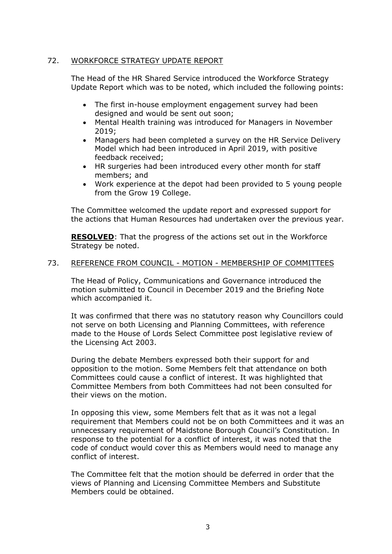# 72. WORKFORCE STRATEGY UPDATE REPORT

The Head of the HR Shared Service introduced the Workforce Strategy Update Report which was to be noted, which included the following points:

- The first in-house employment engagement survey had been designed and would be sent out soon;
- Mental Health training was introduced for Managers in November 2019;
- Managers had been completed a survey on the HR Service Delivery Model which had been introduced in April 2019, with positive feedback received;
- HR surgeries had been introduced every other month for staff members; and
- Work experience at the depot had been provided to 5 young people from the Grow 19 College.

The Committee welcomed the update report and expressed support for the actions that Human Resources had undertaken over the previous year.

**RESOLVED**: That the progress of the actions set out in the Workforce Strategy be noted.

### 73. REFERENCE FROM COUNCIL - MOTION - MEMBERSHIP OF COMMITTEES

The Head of Policy, Communications and Governance introduced the motion submitted to Council in December 2019 and the Briefing Note which accompanied it.

It was confirmed that there was no statutory reason why Councillors could not serve on both Licensing and Planning Committees, with reference made to the House of Lords Select Committee post legislative review of the Licensing Act 2003.

During the debate Members expressed both their support for and opposition to the motion. Some Members felt that attendance on both Committees could cause a conflict of interest. It was highlighted that Committee Members from both Committees had not been consulted for their views on the motion.

In opposing this view, some Members felt that as it was not a legal requirement that Members could not be on both Committees and it was an unnecessary requirement of Maidstone Borough Council's Constitution. In response to the potential for a conflict of interest, it was noted that the code of conduct would cover this as Members would need to manage any conflict of interest.

The Committee felt that the motion should be deferred in order that the views of Planning and Licensing Committee Members and Substitute Members could be obtained.